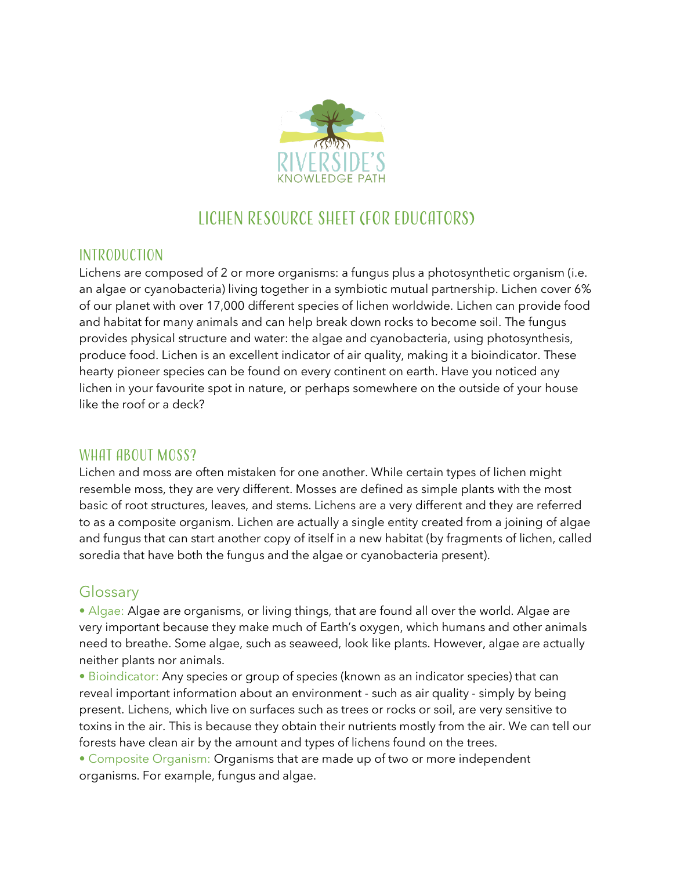

# Lichen Resource Sheet (For Educators)

### Introduction

Lichens are composed of 2 or more organisms: a fungus plus a photosynthetic organism (i.e. an algae or cyanobacteria) living together in a symbiotic mutual partnership. Lichen cover 6% of our planet with over 17,000 different species of lichen worldwide. Lichen can provide food and habitat for many animals and can help break down rocks to become soil. The fungus provides physical structure and water: the algae and cyanobacteria, using photosynthesis, produce food. Lichen is an excellent indicator of air quality, making it a bioindicator. These hearty pioneer species can be found on every continent on earth. Have you noticed any lichen in your favourite spot in nature, or perhaps somewhere on the outside of your house like the roof or a deck?

#### WHAT ABOUT MOSS?

Lichen and moss are often mistaken for one another. While certain types of lichen might resemble moss, they are very different. Mosses are defined as simple plants with the most basic of root structures, leaves, and stems. Lichens are a very different and they are referred to as a composite organism. Lichen are actually a single entity created from a joining of algae and fungus that can start another copy of itself in a new habitat (by fragments of lichen, called soredia that have both the fungus and the algae or cyanobacteria present).

## Glossary

• Algae: Algae are organisms, or living things, that are found all over the world. Algae are very important because they make much of Earth's oxygen, which humans and other animals need to breathe. Some algae, such as seaweed, look like plants. However, algae are actually neither plants nor animals.

• Bioindicator: Any species or group of species (known as an indicator species) that can reveal important information about an environment - such as air quality - simply by being present. Lichens, which live on surfaces such as trees or rocks or soil, are very sensitive to toxins in the air. This is because they obtain their nutrients mostly from the air. We can tell our forests have clean air by the amount and types of lichens found on the trees.

• Composite Organism: Organisms that are made up of two or more independent organisms. For example, fungus and algae.